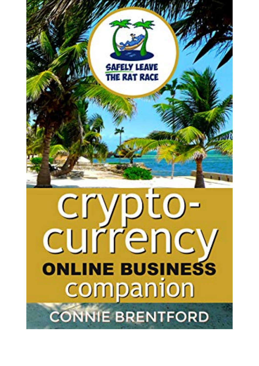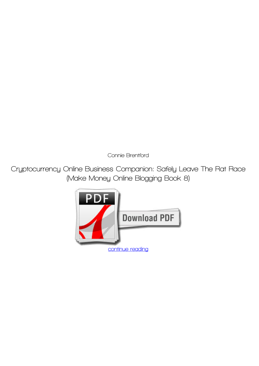*Connie Brentford*

**Cryptocurrency Online Business Companion: Safely Leave The Rat Race (Make Money Online Blogging Book 8)**

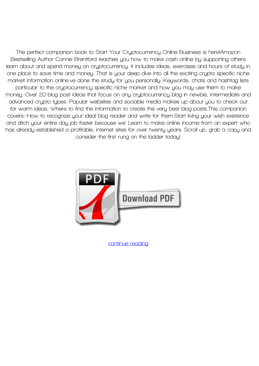**The perfect companion book to Start Your Cryptocurrency Online Business is here!Amazon Bestselling Author Connie Brentford teaches you how to make cash online by supporting others learn about and spend money on cryptocurrency. It includes ideas, exercises and hours of study in one place to save time and money. That is your deep dive into all the exciting crypto specific niche market information online.ve done the study for you personally.-Keywords, chats and hashtag lists particular to the cryptocurrency specific niche market and how you may use them to make money.-Over 20 blog post ideas that focus on any cryptocurrency blog in newbie, intermediate and advanced crypto types.-Popular websites and sociable media makes up about you to check out for warm ideas.-Where to find the information to create the very best blog posts.This companion covers:-How to recognize your ideal blog reader and write for them.Start living your wish existence and ditch your entire day job faster because we' Learn to make online income from an expert who has already established a profitable, internet sites for over twenty years. Scroll up, grab a copy and consider the first rung on the ladder today!**



**[continue reading](http://bit.ly/2Tge8Fv)**